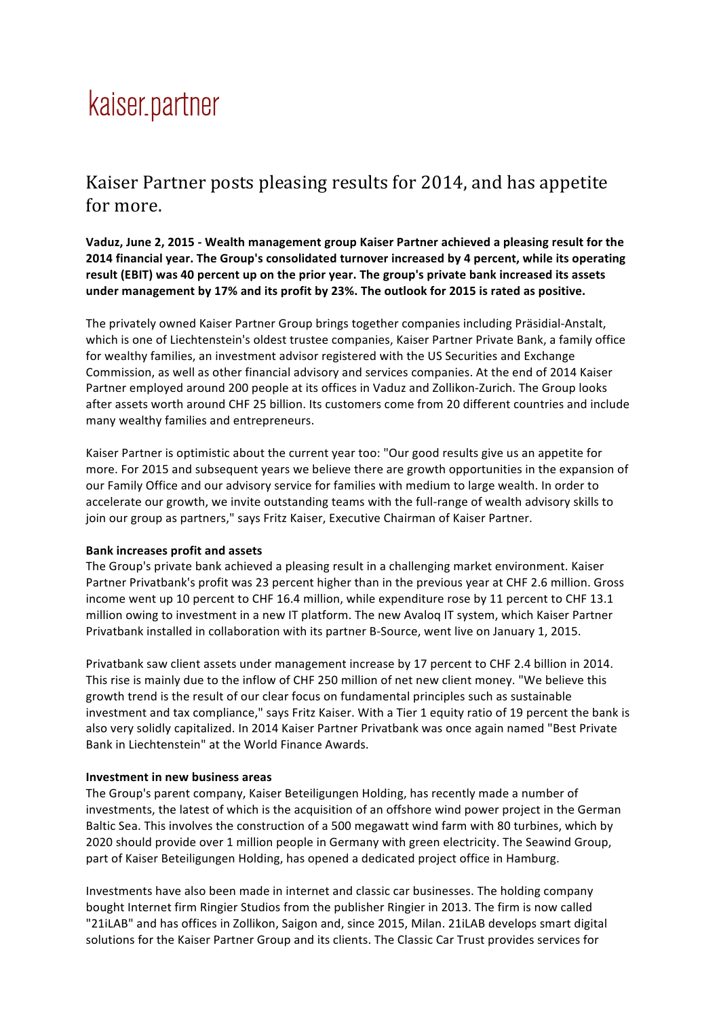## kaiser.partner

## Kaiser Partner posts pleasing results for 2014, and has appetite for more.

**Vaduz, June 2, 2015 - Wealth management group Kaiser Partner achieved a pleasing result for the 2014 financial year. The Group's consolidated turnover increased by 4 percent, while its operating result (EBIT) was 40 percent up on the prior year. The group's private bank increased its assets under management by 17% and its profit by 23%. The outlook for 2015 is rated as positive.**

The privately owned Kaiser Partner Group brings together companies including Präsidial-Anstalt, which is one of Liechtenstein's oldest trustee companies, Kaiser Partner Private Bank, a family office for wealthy families, an investment advisor registered with the US Securities and Exchange Commission, as well as other financial advisory and services companies. At the end of 2014 Kaiser Partner employed around 200 people at its offices in Vaduz and Zollikon-Zurich. The Group looks after assets worth around CHF 25 billion. Its customers come from 20 different countries and include many wealthy families and entrepreneurs.

Kaiser Partner is optimistic about the current year too: "Our good results give us an appetite for more. For 2015 and subsequent years we believe there are growth opportunities in the expansion of our Family Office and our advisory service for families with medium to large wealth. In order to accelerate our growth, we invite outstanding teams with the full-range of wealth advisory skills to join our group as partners," says Fritz Kaiser, Executive Chairman of Kaiser Partner.

## **Bank increases profit and assets**

The Group's private bank achieved a pleasing result in a challenging market environment. Kaiser Partner Privatbank's profit was 23 percent higher than in the previous year at CHF 2.6 million. Gross income went up 10 percent to CHF 16.4 million, while expenditure rose by 11 percent to CHF 13.1 million owing to investment in a new IT platform. The new Avaloq IT system, which Kaiser Partner Privatbank installed in collaboration with its partner B-Source, went live on January 1, 2015.

Privatbank saw client assets under management increase by 17 percent to CHF 2.4 billion in 2014. This rise is mainly due to the inflow of CHF 250 million of net new client money. "We believe this growth trend is the result of our clear focus on fundamental principles such as sustainable investment and tax compliance," says Fritz Kaiser. With a Tier 1 equity ratio of 19 percent the bank is also very solidly capitalized. In 2014 Kaiser Partner Privatbank was once again named "Best Private Bank in Liechtenstein" at the World Finance Awards.

## **Investment in new business areas**

The Group's parent company, Kaiser Beteiligungen Holding, has recently made a number of investments, the latest of which is the acquisition of an offshore wind power project in the German Baltic Sea. This involves the construction of a 500 megawatt wind farm with 80 turbines, which by 2020 should provide over 1 million people in Germany with green electricity. The Seawind Group, part of Kaiser Beteiligungen Holding, has opened a dedicated project office in Hamburg.

Investments have also been made in internet and classic car businesses. The holding company bought Internet firm Ringier Studios from the publisher Ringier in 2013. The firm is now called "21iLAB" and has offices in Zollikon, Saigon and, since 2015, Milan. 21iLAB develops smart digital solutions for the Kaiser Partner Group and its clients. The Classic Car Trust provides services for